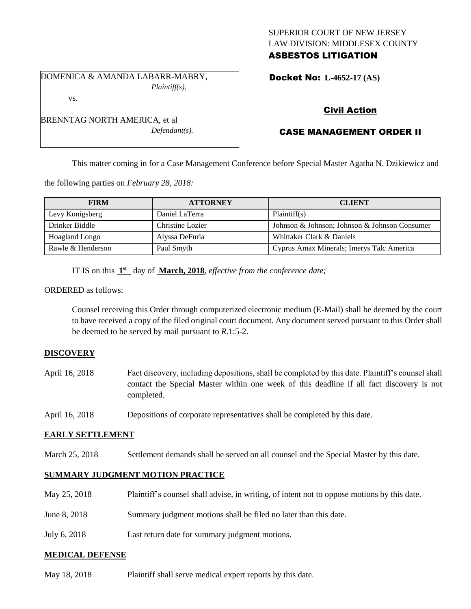## SUPERIOR COURT OF NEW JERSEY LAW DIVISION: MIDDLESEX COUNTY ASBESTOS LITIGATION

DOMENICA & AMANDA LABARR-MABRY, *Plaintiff(s),* vs.

*Defendant(s).*

Docket No: **L-4652-17 (AS)** 

# Civil Action

# CASE MANAGEMENT ORDER II

This matter coming in for a Case Management Conference before Special Master Agatha N. Dzikiewicz and

the following parties on *February 28, 2018:*

BRENNTAG NORTH AMERICA, et al

| <b>FIRM</b>       | <b>ATTORNEY</b>  | <b>CLIENT</b>                                 |
|-------------------|------------------|-----------------------------------------------|
| Levy Konigsberg   | Daniel LaTerra   | Plaintiff(s)                                  |
| Drinker Biddle    | Christine Lozier | Johnson & Johnson; Johnson & Johnson Consumer |
| Hoagland Longo    | Alyssa DeFuria   | Whittaker Clark & Daniels                     |
| Rawle & Henderson | Paul Smyth       | Cyprus Amax Minerals; Imerys Talc America     |

IT IS on this  $1<sup>st</sup>$  day of **March, 2018**, *effective from the conference date*;

ORDERED as follows:

Counsel receiving this Order through computerized electronic medium (E-Mail) shall be deemed by the court to have received a copy of the filed original court document. Any document served pursuant to this Order shall be deemed to be served by mail pursuant to *R*.1:5-2.

## **DISCOVERY**

- April 16, 2018 Fact discovery, including depositions, shall be completed by this date. Plaintiff's counsel shall contact the Special Master within one week of this deadline if all fact discovery is not completed.
- April 16, 2018 Depositions of corporate representatives shall be completed by this date.

### **EARLY SETTLEMENT**

March 25, 2018 Settlement demands shall be served on all counsel and the Special Master by this date.

### **SUMMARY JUDGMENT MOTION PRACTICE**

| May 25, 2018 | Plaintiff's counsel shall advise, in writing, of intent not to oppose motions by this date. |
|--------------|---------------------------------------------------------------------------------------------|
| June 8, 2018 | Summary judgment motions shall be filed no later than this date.                            |
| July 6, 2018 | Last return date for summary judgment motions.                                              |

### **MEDICAL DEFENSE**

May 18, 2018 Plaintiff shall serve medical expert reports by this date.